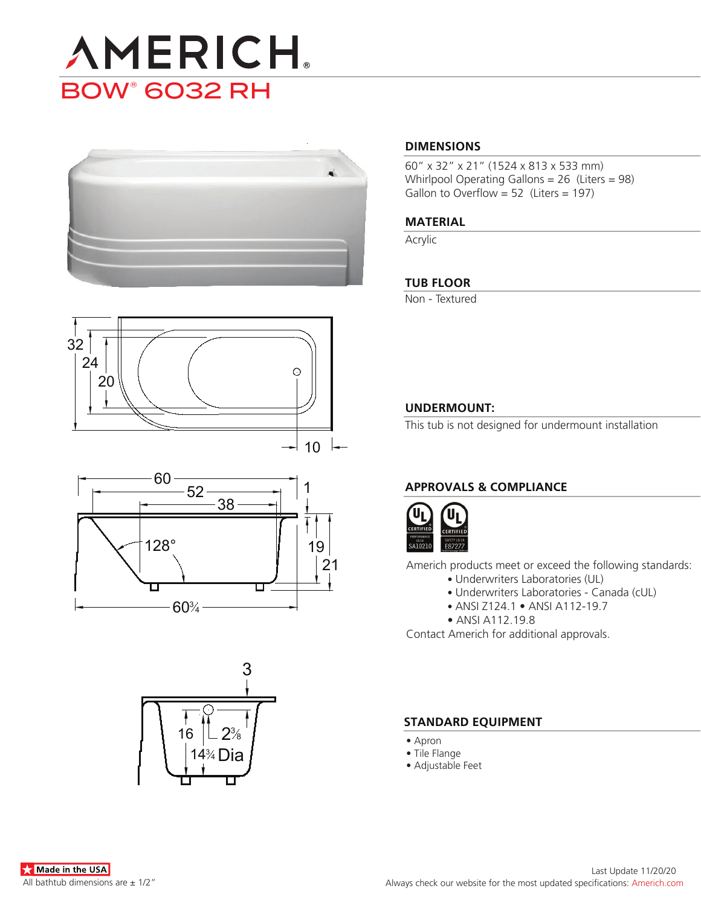# **AMERICH. BOW® 6032 RH**







## 3  $\mathcal{P}^3$ 8 Dia 16  $14\%$

#### **DIMENSIONS**

60" x 32" x 21" (1524 x 813 x 533 mm) Whirlpool Operating Gallons = 26 (Liters = 98) Gallon to Overflow = 52 (Liters = 197)

#### **MATERIAL**

Acrylic

#### **TUB FLOOR**

Non - Textured

#### **UNDERMOUNT:**

This tub is not designed for undermount installation

### **APPROVALS & COMPLIANCE**



Americh products meet or exceed the following standards:

- Underwriters Laboratories (UL)
	- Underwriters Laboratories Canada (cUL)
	- ANSI Z124.1 ANSI A112-19.7
- ANSI A112.19.8

Contact Americh for additional approvals.

#### **STANDARD EQUIPMENT**

- Apron
- Tile Flange
- Adjustable Feet